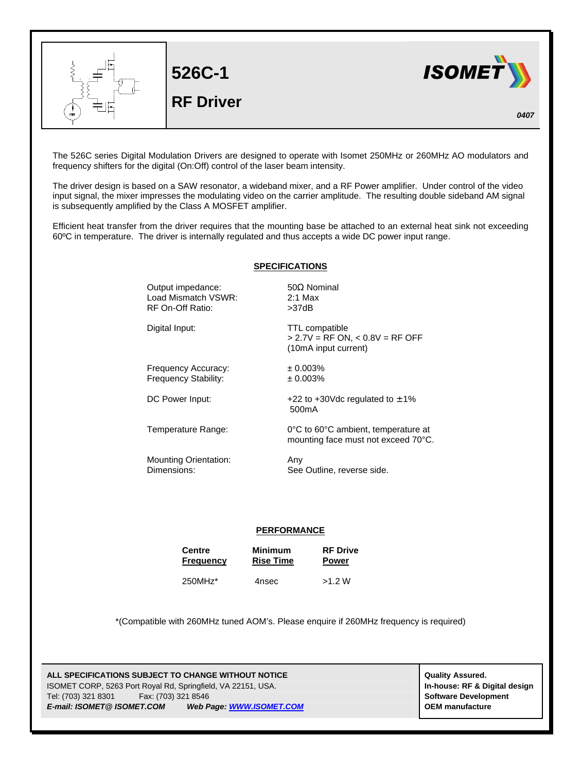

The 526C series Digital Modulation Drivers are designed to operate with Isomet 250MHz or 260MHz AO modulators and frequency shifters for the digital (On:Off) control of the laser beam intensity.

The driver design is based on a SAW resonator, a wideband mixer, and a RF Power amplifier. Under control of the video input signal, the mixer impresses the modulating video on the carrier amplitude. The resulting double sideband AM signal is subsequently amplified by the Class A MOSFET amplifier.

Efficient heat transfer from the driver requires that the mounting base be attached to an external heat sink not exceeding 60ºC in temperature. The driver is internally regulated and thus accepts a wide DC power input range.

## **SPECIFICATIONS**

Output impedance: 50Ω Nominal Load Mismatch VSWR: 2:1 Max RF On-Off Ratio: >37dB

Digital Input: TTL compatible

Frequency Accuracy: ± 0.003% Frequency Stability:  $\pm 0.003\%$ 

DC Power Input:  $+22$  to  $+30$ Vdc regulated to  $\pm 1\%$ 

Temperature Range: 0°C to 60°C ambient, temperature at

Mounting Orientation: Any Dimensions: See Outline, reverse side.

mounting face must not exceed 70°C.

> 2.7V = RF ON, < 0.8V = RF OFF

(10mA input current)

500mA

## **PERFORMANCE**

| <b>Centre</b>    | <b>Minimum</b>   | <b>RF Drive</b> |
|------------------|------------------|-----------------|
| <b>Frequency</b> | <b>Rise Time</b> | <b>Power</b>    |
|                  |                  |                 |

250MHz\* 4nsec >1.2 W

\*(Compatible with 260MHz tuned AOM's. Please enquire if 260MHz frequency is required)

**ALL SPECIFICATIONS SUBJECT TO CHANGE WITHOUT NOTICE And CONTACT ASSURANT CONTRACT ASSURED.** ISOMET CORP, 5263 Port Royal Rd, Springfield, VA 22151, USA. **In-house: RF & Digital design** Tel: (703) 321 8301 Fax: (703) 321 8546 **Software Development** *E-mail: ISOMET@ ISOMET.COM Web Page: WWW.ISOMET.COM* **OEM manufacture**